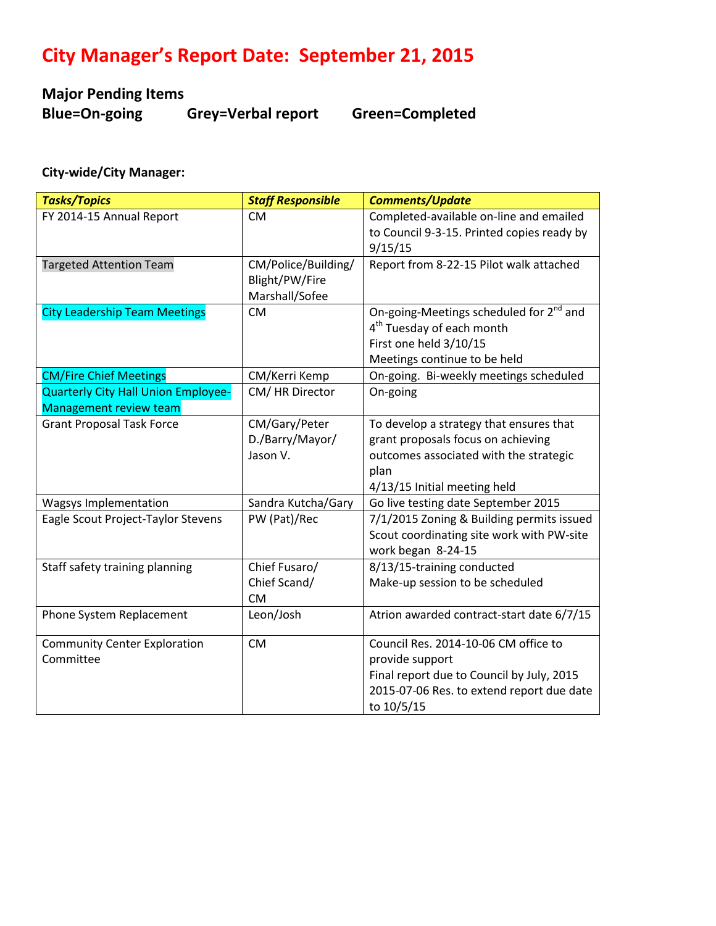## **City Manager's Report Date: September 21, 2015**

# **Major Pending Items**

**Blue=On-going Grey=Verbal report Green=Completed**

## **City-wide/City Manager:**

| <b>Tasks/Topics</b>                  | <b>Staff Responsible</b> | <b>Comments/Update</b>                              |
|--------------------------------------|--------------------------|-----------------------------------------------------|
| FY 2014-15 Annual Report             | <b>CM</b>                | Completed-available on-line and emailed             |
|                                      |                          | to Council 9-3-15. Printed copies ready by          |
|                                      |                          | 9/15/15                                             |
| <b>Targeted Attention Team</b>       | CM/Police/Building/      | Report from 8-22-15 Pilot walk attached             |
|                                      | Blight/PW/Fire           |                                                     |
|                                      | Marshall/Sofee           |                                                     |
| <b>City Leadership Team Meetings</b> | <b>CM</b>                | On-going-Meetings scheduled for 2 <sup>nd</sup> and |
|                                      |                          | 4 <sup>th</sup> Tuesday of each month               |
|                                      |                          | First one held 3/10/15                              |
|                                      |                          | Meetings continue to be held                        |
| <b>CM/Fire Chief Meetings</b>        | CM/Kerri Kemp            | On-going. Bi-weekly meetings scheduled              |
| Quarterly City Hall Union Employee-  | CM/HR Director           | On-going                                            |
| <b>Management review team</b>        |                          |                                                     |
| <b>Grant Proposal Task Force</b>     | CM/Gary/Peter            | To develop a strategy that ensures that             |
|                                      | D./Barry/Mayor/          | grant proposals focus on achieving                  |
|                                      | Jason V.                 | outcomes associated with the strategic              |
|                                      |                          | plan                                                |
|                                      |                          | 4/13/15 Initial meeting held                        |
| <b>Wagsys Implementation</b>         | Sandra Kutcha/Gary       | Go live testing date September 2015                 |
| Eagle Scout Project-Taylor Stevens   | PW (Pat)/Rec             | 7/1/2015 Zoning & Building permits issued           |
|                                      |                          | Scout coordinating site work with PW-site           |
|                                      |                          | work began 8-24-15                                  |
| Staff safety training planning       | Chief Fusaro/            | 8/13/15-training conducted                          |
|                                      | Chief Scand/             | Make-up session to be scheduled                     |
|                                      | <b>CM</b>                |                                                     |
| Phone System Replacement             | Leon/Josh                | Atrion awarded contract-start date 6/7/15           |
| <b>Community Center Exploration</b>  | <b>CM</b>                | Council Res. 2014-10-06 CM office to                |
| Committee                            |                          | provide support                                     |
|                                      |                          | Final report due to Council by July, 2015           |
|                                      |                          | 2015-07-06 Res. to extend report due date           |
|                                      |                          | to 10/5/15                                          |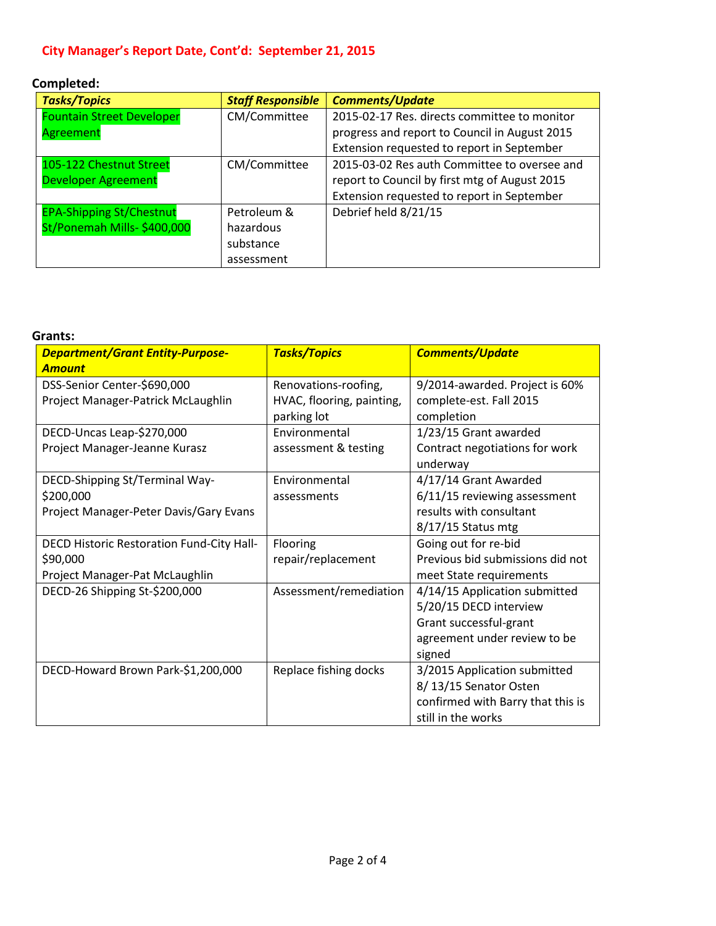| <b>Tasks/Topics</b>              | <b>Staff Responsible</b> | <b>Comments/Update</b>                        |
|----------------------------------|--------------------------|-----------------------------------------------|
| <b>Fountain Street Developer</b> | CM/Committee             | 2015-02-17 Res. directs committee to monitor  |
| Agreement                        |                          | progress and report to Council in August 2015 |
|                                  |                          | Extension requested to report in September    |
| 105-122 Chestnut Street          | CM/Committee             | 2015-03-02 Res auth Committee to oversee and  |
| <b>Developer Agreement</b>       |                          | report to Council by first mtg of August 2015 |
|                                  |                          | Extension requested to report in September    |
| <b>EPA-Shipping St/Chestnut</b>  | Petroleum &              | Debrief held 8/21/15                          |
| St/Ponemah Mills- \$400,000      | hazardous                |                                               |
|                                  | substance                |                                               |
|                                  | assessment               |                                               |

#### **Completed:**

### **Grants:**

| <b>Department/Grant Entity-Purpose-</b>   | <b>Tasks/Topics</b>       | <b>Comments/Update</b>            |
|-------------------------------------------|---------------------------|-----------------------------------|
| <b>Amount</b>                             |                           |                                   |
| DSS-Senior Center-\$690,000               | Renovations-roofing,      | 9/2014-awarded. Project is 60%    |
| Project Manager-Patrick McLaughlin        | HVAC, flooring, painting, | complete-est. Fall 2015           |
|                                           | parking lot               | completion                        |
| DECD-Uncas Leap-\$270,000                 | Environmental             | 1/23/15 Grant awarded             |
| Project Manager-Jeanne Kurasz             | assessment & testing      | Contract negotiations for work    |
|                                           |                           | underway                          |
| DECD-Shipping St/Terminal Way-            | Environmental             | 4/17/14 Grant Awarded             |
| \$200,000                                 | assessments               | 6/11/15 reviewing assessment      |
| Project Manager-Peter Davis/Gary Evans    |                           | results with consultant           |
|                                           |                           | $8/17/15$ Status mtg              |
| DECD Historic Restoration Fund-City Hall- | Flooring                  | Going out for re-bid              |
| \$90,000                                  | repair/replacement        | Previous bid submissions did not  |
| Project Manager-Pat McLaughlin            |                           | meet State requirements           |
| DECD-26 Shipping St-\$200,000             | Assessment/remediation    | 4/14/15 Application submitted     |
|                                           |                           | 5/20/15 DECD interview            |
|                                           |                           | Grant successful-grant            |
|                                           |                           | agreement under review to be      |
|                                           |                           | signed                            |
| DECD-Howard Brown Park-\$1,200,000        | Replace fishing docks     | 3/2015 Application submitted      |
|                                           |                           | 8/13/15 Senator Osten             |
|                                           |                           | confirmed with Barry that this is |
|                                           |                           | still in the works                |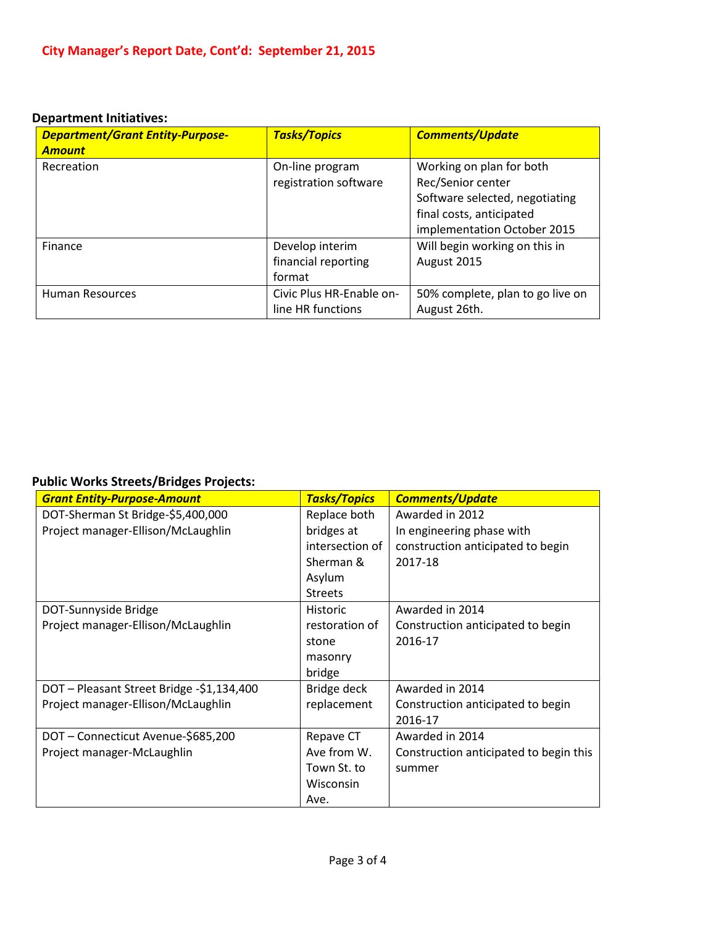## **Department Initiatives:**

| <b>Department/Grant Entity-Purpose-</b><br><b>Amount</b> | <b>Tasks/Topics</b>      | <b>Comments/Update</b>           |
|----------------------------------------------------------|--------------------------|----------------------------------|
| Recreation                                               | On-line program          | Working on plan for both         |
|                                                          | registration software    | Rec/Senior center                |
|                                                          |                          | Software selected, negotiating   |
|                                                          |                          | final costs, anticipated         |
|                                                          |                          | implementation October 2015      |
| Finance                                                  | Develop interim          | Will begin working on this in    |
|                                                          | financial reporting      | August 2015                      |
|                                                          | format                   |                                  |
| <b>Human Resources</b>                                   | Civic Plus HR-Enable on- | 50% complete, plan to go live on |
|                                                          | line HR functions        | August 26th.                     |

## **Public Works Streets/Bridges Projects:**

| <b>Grant Entity-Purpose-Amount</b>        | <b>Tasks/Topics</b> | <b>Comments/Update</b>                 |
|-------------------------------------------|---------------------|----------------------------------------|
| DOT-Sherman St Bridge-\$5,400,000         | Replace both        | Awarded in 2012                        |
| Project manager-Ellison/McLaughlin        | bridges at          | In engineering phase with              |
|                                           | intersection of     | construction anticipated to begin      |
|                                           | Sherman &           | 2017-18                                |
|                                           | Asylum              |                                        |
|                                           | <b>Streets</b>      |                                        |
| DOT-Sunnyside Bridge                      | <b>Historic</b>     | Awarded in 2014                        |
| Project manager-Ellison/McLaughlin        | restoration of      | Construction anticipated to begin      |
|                                           | stone               | 2016-17                                |
|                                           | masonry             |                                        |
|                                           | bridge              |                                        |
| DOT - Pleasant Street Bridge -\$1,134,400 | Bridge deck         | Awarded in 2014                        |
| Project manager-Ellison/McLaughlin        | replacement         | Construction anticipated to begin      |
|                                           |                     | 2016-17                                |
| DOT - Connecticut Avenue-\$685,200        | Repave CT           | Awarded in 2014                        |
| Project manager-McLaughlin                | Ave from W.         | Construction anticipated to begin this |
|                                           | Town St. to         | summer                                 |
|                                           | Wisconsin           |                                        |
|                                           | Ave.                |                                        |